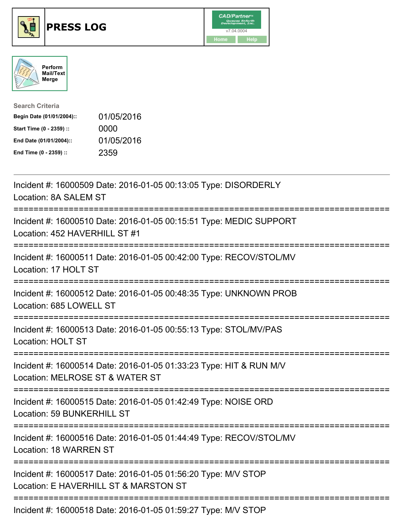





| <b>Search Criteria</b>    |            |
|---------------------------|------------|
| Begin Date (01/01/2004):: | 01/05/2016 |
| Start Time (0 - 2359) ::  | 0000       |
| End Date (01/01/2004)::   | 01/05/2016 |
| End Time (0 - 2359) ::    | 2359       |

| Incident #: 16000509 Date: 2016-01-05 00:13:05 Type: DISORDERLY<br>Location: 8A SALEM ST                          |
|-------------------------------------------------------------------------------------------------------------------|
| Incident #: 16000510 Date: 2016-01-05 00:15:51 Type: MEDIC SUPPORT<br>Location: 452 HAVERHILL ST #1<br>:========= |
| Incident #: 16000511 Date: 2016-01-05 00:42:00 Type: RECOV/STOL/MV<br>Location: 17 HOLT ST                        |
| Incident #: 16000512 Date: 2016-01-05 00:48:35 Type: UNKNOWN PROB<br>Location: 685 LOWELL ST                      |
| Incident #: 16000513 Date: 2016-01-05 00:55:13 Type: STOL/MV/PAS<br><b>Location: HOLT ST</b>                      |
| Incident #: 16000514 Date: 2016-01-05 01:33:23 Type: HIT & RUN M/V<br>Location: MELROSE ST & WATER ST             |
| Incident #: 16000515 Date: 2016-01-05 01:42:49 Type: NOISE ORD<br><b>Location: 59 BUNKERHILL ST</b>               |
| Incident #: 16000516 Date: 2016-01-05 01:44:49 Type: RECOV/STOL/MV<br>Location: 18 WARREN ST                      |
| Incident #: 16000517 Date: 2016-01-05 01:56:20 Type: M/V STOP<br>Location: E HAVERHILL ST & MARSTON ST            |
| =====================================<br>Incident #: 16000518 Date: 2016-01-05 01:59:27 Type: M/V STOP            |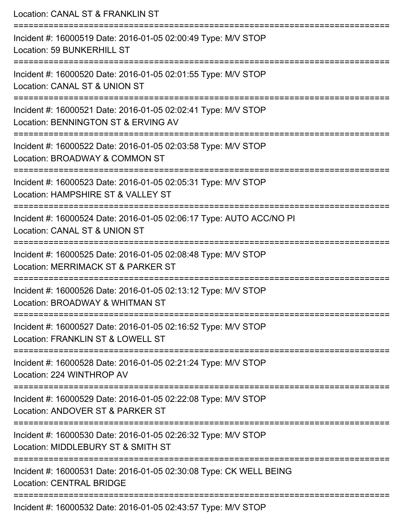| Location: CANAL ST & FRANKLIN ST                                                                                               |
|--------------------------------------------------------------------------------------------------------------------------------|
| Incident #: 16000519 Date: 2016-01-05 02:00:49 Type: M/V STOP<br>Location: 59 BUNKERHILL ST                                    |
| Incident #: 16000520 Date: 2016-01-05 02:01:55 Type: M/V STOP<br>Location: CANAL ST & UNION ST                                 |
| Incident #: 16000521 Date: 2016-01-05 02:02:41 Type: M/V STOP<br>Location: BENNINGTON ST & ERVING AV                           |
| Incident #: 16000522 Date: 2016-01-05 02:03:58 Type: M/V STOP<br>Location: BROADWAY & COMMON ST                                |
| Incident #: 16000523 Date: 2016-01-05 02:05:31 Type: M/V STOP<br>Location: HAMPSHIRE ST & VALLEY ST<br>:====================== |
| Incident #: 16000524 Date: 2016-01-05 02:06:17 Type: AUTO ACC/NO PI<br>Location: CANAL ST & UNION ST                           |
| Incident #: 16000525 Date: 2016-01-05 02:08:48 Type: M/V STOP<br>Location: MERRIMACK ST & PARKER ST                            |
| Incident #: 16000526 Date: 2016-01-05 02:13:12 Type: M/V STOP<br>Location: BROADWAY & WHITMAN ST                               |
| Incident #: 16000527 Date: 2016-01-05 02:16:52 Type: M/V STOP<br>Location: FRANKLIN ST & LOWELL ST                             |
| Incident #: 16000528 Date: 2016-01-05 02:21:24 Type: M/V STOP<br>Location: 224 WINTHROP AV                                     |
| =================<br>Incident #: 16000529 Date: 2016-01-05 02:22:08 Type: M/V STOP<br>Location: ANDOVER ST & PARKER ST         |
| Incident #: 16000530 Date: 2016-01-05 02:26:32 Type: M/V STOP<br>Location: MIDDLEBURY ST & SMITH ST                            |
| Incident #: 16000531 Date: 2016-01-05 02:30:08 Type: CK WELL BEING<br><b>Location: CENTRAL BRIDGE</b>                          |
| Incident #: 16000532 Date: 2016-01-05 02:43:57 Type: M/V STOP                                                                  |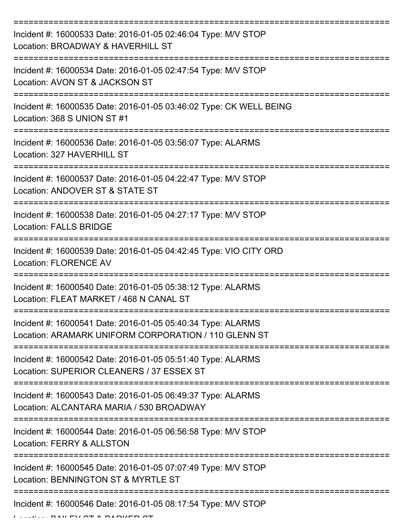| Incident #: 16000533 Date: 2016-01-05 02:46:04 Type: M/V STOP<br>Location: BROADWAY & HAVERHILL ST                  |
|---------------------------------------------------------------------------------------------------------------------|
| Incident #: 16000534 Date: 2016-01-05 02:47:54 Type: M/V STOP<br>Location: AVON ST & JACKSON ST                     |
| Incident #: 16000535 Date: 2016-01-05 03:46:02 Type: CK WELL BEING<br>Location: 368 S UNION ST #1                   |
| Incident #: 16000536 Date: 2016-01-05 03:56:07 Type: ALARMS<br>Location: 327 HAVERHILL ST                           |
| Incident #: 16000537 Date: 2016-01-05 04:22:47 Type: M/V STOP<br>Location: ANDOVER ST & STATE ST                    |
| Incident #: 16000538 Date: 2016-01-05 04:27:17 Type: M/V STOP<br><b>Location: FALLS BRIDGE</b>                      |
| Incident #: 16000539 Date: 2016-01-05 04:42:45 Type: VIO CITY ORD<br><b>Location: FLORENCE AV</b>                   |
| Incident #: 16000540 Date: 2016-01-05 05:38:12 Type: ALARMS<br>Location: FLEAT MARKET / 468 N CANAL ST              |
| Incident #: 16000541 Date: 2016-01-05 05:40:34 Type: ALARMS<br>Location: ARAMARK UNIFORM CORPORATION / 110 GLENN ST |
| Incident #: 16000542 Date: 2016-01-05 05:51:40 Type: ALARMS<br>Location: SUPERIOR CLEANERS / 37 ESSEX ST            |
| Incident #: 16000543 Date: 2016-01-05 06:49:37 Type: ALARMS<br>Location: ALCANTARA MARIA / 530 BROADWAY             |
| Incident #: 16000544 Date: 2016-01-05 06:56:58 Type: M/V STOP<br>Location: FERRY & ALLSTON                          |
| Incident #: 16000545 Date: 2016-01-05 07:07:49 Type: M/V STOP<br>Location: BENNINGTON ST & MYRTLE ST                |
| Incident #: 16000546 Date: 2016-01-05 08:17:54 Type: M/V STOP                                                       |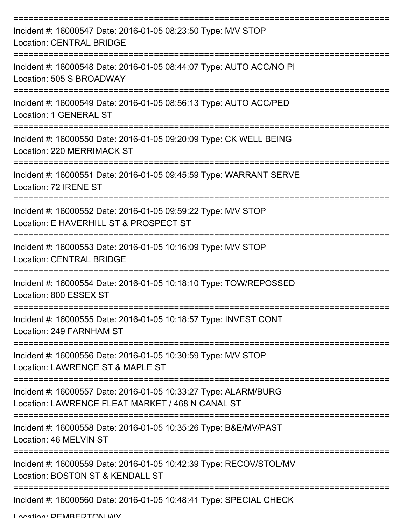| Incident #: 16000547 Date: 2016-01-05 08:23:50 Type: M/V STOP<br><b>Location: CENTRAL BRIDGE</b>                    |
|---------------------------------------------------------------------------------------------------------------------|
| Incident #: 16000548 Date: 2016-01-05 08:44:07 Type: AUTO ACC/NO PI<br>Location: 505 S BROADWAY                     |
| Incident #: 16000549 Date: 2016-01-05 08:56:13 Type: AUTO ACC/PED<br>Location: 1 GENERAL ST                         |
| Incident #: 16000550 Date: 2016-01-05 09:20:09 Type: CK WELL BEING<br>Location: 220 MERRIMACK ST                    |
| Incident #: 16000551 Date: 2016-01-05 09:45:59 Type: WARRANT SERVE<br>Location: 72 IRENE ST                         |
| Incident #: 16000552 Date: 2016-01-05 09:59:22 Type: M/V STOP<br>Location: E HAVERHILL ST & PROSPECT ST             |
| Incident #: 16000553 Date: 2016-01-05 10:16:09 Type: M/V STOP<br><b>Location: CENTRAL BRIDGE</b>                    |
| Incident #: 16000554 Date: 2016-01-05 10:18:10 Type: TOW/REPOSSED<br>Location: 800 ESSEX ST                         |
| Incident #: 16000555 Date: 2016-01-05 10:18:57 Type: INVEST CONT<br>Location: 249 FARNHAM ST                        |
| Incident #: 16000556 Date: 2016-01-05 10:30:59 Type: M/V STOP<br>Location: LAWRENCE ST & MAPLE ST                   |
| Incident #: 16000557 Date: 2016-01-05 10:33:27 Type: ALARM/BURG<br>Location: LAWRENCE FLEAT MARKET / 468 N CANAL ST |
| Incident #: 16000558 Date: 2016-01-05 10:35:26 Type: B&E/MV/PAST<br>Location: 46 MELVIN ST                          |
| Incident #: 16000559 Date: 2016-01-05 10:42:39 Type: RECOV/STOL/MV<br>Location: BOSTON ST & KENDALL ST              |
| Incident #: 16000560 Date: 2016-01-05 10:48:41 Type: SPECIAL CHECK                                                  |

Location: DEMBEDTONI W/V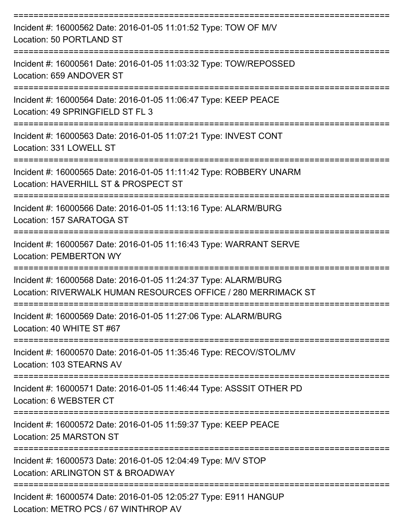| Incident #: 16000562 Date: 2016-01-05 11:01:52 Type: TOW OF M/V<br>Location: 50 PORTLAND ST                                      |
|----------------------------------------------------------------------------------------------------------------------------------|
| Incident #: 16000561 Date: 2016-01-05 11:03:32 Type: TOW/REPOSSED<br>Location: 659 ANDOVER ST                                    |
| Incident #: 16000564 Date: 2016-01-05 11:06:47 Type: KEEP PEACE<br>Location: 49 SPRINGFIELD ST FL 3                              |
| Incident #: 16000563 Date: 2016-01-05 11:07:21 Type: INVEST CONT<br>Location: 331 LOWELL ST                                      |
| Incident #: 16000565 Date: 2016-01-05 11:11:42 Type: ROBBERY UNARM<br>Location: HAVERHILL ST & PROSPECT ST                       |
| Incident #: 16000566 Date: 2016-01-05 11:13:16 Type: ALARM/BURG<br>Location: 157 SARATOGA ST                                     |
| Incident #: 16000567 Date: 2016-01-05 11:16:43 Type: WARRANT SERVE<br><b>Location: PEMBERTON WY</b>                              |
| Incident #: 16000568 Date: 2016-01-05 11:24:37 Type: ALARM/BURG<br>Location: RIVERWALK HUMAN RESOURCES OFFICE / 280 MERRIMACK ST |
| Incident #: 16000569 Date: 2016-01-05 11:27:06 Type: ALARM/BURG<br>Location: 40 WHITE ST #67                                     |
| Incident #: 16000570 Date: 2016-01-05 11:35:46 Type: RECOV/STOL/MV<br>Location: 103 STEARNS AV                                   |
| Incident #: 16000571 Date: 2016-01-05 11:46:44 Type: ASSSIT OTHER PD<br>Location: 6 WEBSTER CT                                   |
| Incident #: 16000572 Date: 2016-01-05 11:59:37 Type: KEEP PEACE<br>Location: 25 MARSTON ST                                       |
| Incident #: 16000573 Date: 2016-01-05 12:04:49 Type: M/V STOP<br>Location: ARLINGTON ST & BROADWAY                               |
| Incident #: 16000574 Date: 2016-01-05 12:05:27 Type: E911 HANGUP<br>Location: METRO PCS / 67 WINTHROP AV                         |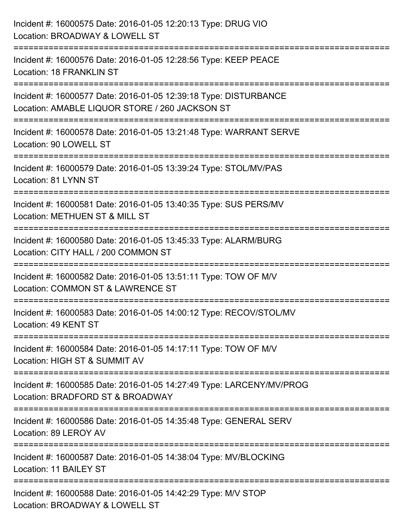| Incident #: 16000575 Date: 2016-01-05 12:20:13 Type: DRUG VIO<br>Location: BROADWAY & LOWELL ST                           |
|---------------------------------------------------------------------------------------------------------------------------|
| Incident #: 16000576 Date: 2016-01-05 12:28:56 Type: KEEP PEACE<br>Location: 18 FRANKLIN ST                               |
| Incident #: 16000577 Date: 2016-01-05 12:39:18 Type: DISTURBANCE<br>Location: AMABLE LIQUOR STORE / 260 JACKSON ST        |
| Incident #: 16000578 Date: 2016-01-05 13:21:48 Type: WARRANT SERVE<br>Location: 90 LOWELL ST                              |
| Incident #: 16000579 Date: 2016-01-05 13:39:24 Type: STOL/MV/PAS<br>Location: 81 LYNN ST                                  |
| Incident #: 16000581 Date: 2016-01-05 13:40:35 Type: SUS PERS/MV<br>Location: METHUEN ST & MILL ST<br>.------------------ |
| Incident #: 16000580 Date: 2016-01-05 13:45:33 Type: ALARM/BURG<br>Location: CITY HALL / 200 COMMON ST                    |
| Incident #: 16000582 Date: 2016-01-05 13:51:11 Type: TOW OF M/V<br>Location: COMMON ST & LAWRENCE ST                      |
| Incident #: 16000583 Date: 2016-01-05 14:00:12 Type: RECOV/STOL/MV<br>Location: 49 KENT ST                                |
| Incident #: 16000584 Date: 2016-01-05 14:17:11 Type: TOW OF M/V<br>Location: HIGH ST & SUMMIT AV                          |
| Incident #: 16000585 Date: 2016-01-05 14:27:49 Type: LARCENY/MV/PROG<br>Location: BRADFORD ST & BROADWAY                  |
| Incident #: 16000586 Date: 2016-01-05 14:35:48 Type: GENERAL SERV<br>Location: 89 LEROY AV                                |
| Incident #: 16000587 Date: 2016-01-05 14:38:04 Type: MV/BLOCKING<br>Location: 11 BAILEY ST                                |
| Incident #: 16000588 Date: 2016-01-05 14:42:29 Type: M/V STOP<br>Location: BROADWAY & LOWELL ST                           |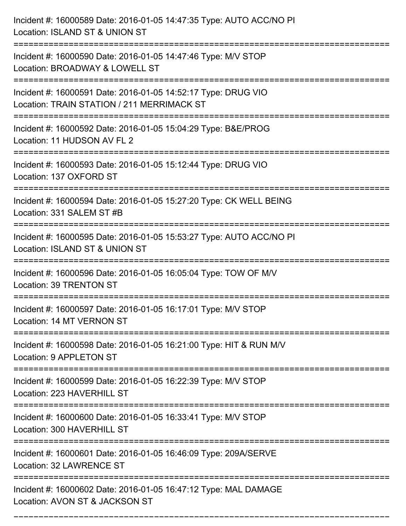| Incident #: 16000589 Date: 2016-01-05 14:47:35 Type: AUTO ACC/NO PI<br>Location: ISLAND ST & UNION ST                                 |
|---------------------------------------------------------------------------------------------------------------------------------------|
| Incident #: 16000590 Date: 2016-01-05 14:47:46 Type: M/V STOP<br>Location: BROADWAY & LOWELL ST                                       |
| Incident #: 16000591 Date: 2016-01-05 14:52:17 Type: DRUG VIO<br>Location: TRAIN STATION / 211 MERRIMACK ST<br>:===================== |
| Incident #: 16000592 Date: 2016-01-05 15:04:29 Type: B&E/PROG<br>Location: 11 HUDSON AV FL 2                                          |
| Incident #: 16000593 Date: 2016-01-05 15:12:44 Type: DRUG VIO<br>Location: 137 OXFORD ST                                              |
| Incident #: 16000594 Date: 2016-01-05 15:27:20 Type: CK WELL BEING<br>Location: 331 SALEM ST #B                                       |
| Incident #: 16000595 Date: 2016-01-05 15:53:27 Type: AUTO ACC/NO PI<br>Location: ISLAND ST & UNION ST                                 |
| Incident #: 16000596 Date: 2016-01-05 16:05:04 Type: TOW OF M/V<br>Location: 39 TRENTON ST                                            |
| Incident #: 16000597 Date: 2016-01-05 16:17:01 Type: M/V STOP<br>Location: 14 MT VERNON ST                                            |
| Incident #: 16000598 Date: 2016-01-05 16:21:00 Type: HIT & RUN M/V<br>Location: 9 APPLETON ST                                         |
| Incident #: 16000599 Date: 2016-01-05 16:22:39 Type: M/V STOP<br>Location: 223 HAVERHILL ST                                           |
| Incident #: 16000600 Date: 2016-01-05 16:33:41 Type: M/V STOP<br>Location: 300 HAVERHILL ST                                           |
| Incident #: 16000601 Date: 2016-01-05 16:46:09 Type: 209A/SERVE<br>Location: 32 LAWRENCE ST                                           |
| Incident #: 16000602 Date: 2016-01-05 16:47:12 Type: MAL DAMAGE<br>Location: AVON ST & JACKSON ST                                     |

===========================================================================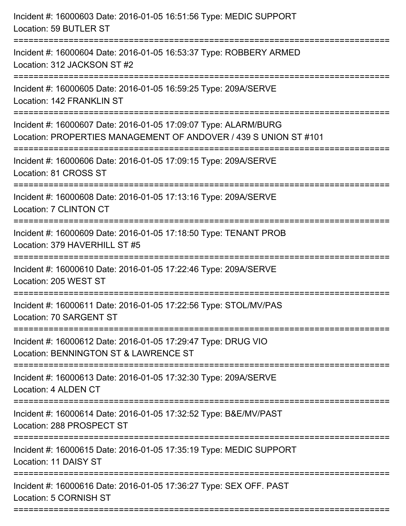| Incident #: 16000603 Date: 2016-01-05 16:51:56 Type: MEDIC SUPPORT<br>Location: 59 BUTLER ST                                        |
|-------------------------------------------------------------------------------------------------------------------------------------|
| Incident #: 16000604 Date: 2016-01-05 16:53:37 Type: ROBBERY ARMED<br>Location: 312 JACKSON ST #2                                   |
| Incident #: 16000605 Date: 2016-01-05 16:59:25 Type: 209A/SERVE<br>Location: 142 FRANKLIN ST                                        |
| Incident #: 16000607 Date: 2016-01-05 17:09:07 Type: ALARM/BURG<br>Location: PROPERTIES MANAGEMENT OF ANDOVER / 439 S UNION ST #101 |
| Incident #: 16000606 Date: 2016-01-05 17:09:15 Type: 209A/SERVE<br>Location: 81 CROSS ST                                            |
| Incident #: 16000608 Date: 2016-01-05 17:13:16 Type: 209A/SERVE<br>Location: 7 CLINTON CT                                           |
| Incident #: 16000609 Date: 2016-01-05 17:18:50 Type: TENANT PROB<br>Location: 379 HAVERHILL ST #5                                   |
| Incident #: 16000610 Date: 2016-01-05 17:22:46 Type: 209A/SERVE<br>Location: 205 WEST ST                                            |
| Incident #: 16000611 Date: 2016-01-05 17:22:56 Type: STOL/MV/PAS<br>Location: 70 SARGENT ST                                         |
| Incident #: 16000612 Date: 2016-01-05 17:29:47 Type: DRUG VIO<br>Location: BENNINGTON ST & LAWRENCE ST                              |
| Incident #: 16000613 Date: 2016-01-05 17:32:30 Type: 209A/SERVE<br>Location: 4 ALDEN CT                                             |
| Incident #: 16000614 Date: 2016-01-05 17:32:52 Type: B&E/MV/PAST<br>Location: 288 PROSPECT ST                                       |
| Incident #: 16000615 Date: 2016-01-05 17:35:19 Type: MEDIC SUPPORT<br>Location: 11 DAISY ST                                         |
| Incident #: 16000616 Date: 2016-01-05 17:36:27 Type: SEX OFF. PAST<br>Location: 5 CORNISH ST                                        |
|                                                                                                                                     |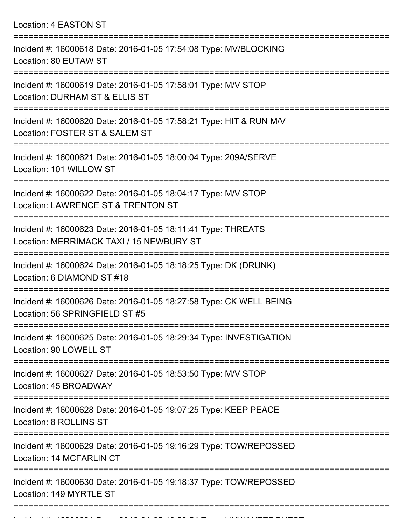| Location: 4 EASTON ST |  |  |  |  |
|-----------------------|--|--|--|--|
|-----------------------|--|--|--|--|

| Incident #: 16000618 Date: 2016-01-05 17:54:08 Type: MV/BLOCKING<br>Location: 80 EUTAW ST                                                           |
|-----------------------------------------------------------------------------------------------------------------------------------------------------|
| Incident #: 16000619 Date: 2016-01-05 17:58:01 Type: M/V STOP<br>Location: DURHAM ST & ELLIS ST                                                     |
| Incident #: 16000620 Date: 2016-01-05 17:58:21 Type: HIT & RUN M/V<br>Location: FOSTER ST & SALEM ST                                                |
| Incident #: 16000621 Date: 2016-01-05 18:00:04 Type: 209A/SERVE<br>Location: 101 WILLOW ST                                                          |
| Incident #: 16000622 Date: 2016-01-05 18:04:17 Type: M/V STOP<br>Location: LAWRENCE ST & TRENTON ST                                                 |
| Incident #: 16000623 Date: 2016-01-05 18:11:41 Type: THREATS<br>Location: MERRIMACK TAXI / 15 NEWBURY ST                                            |
| Incident #: 16000624 Date: 2016-01-05 18:18:25 Type: DK (DRUNK)<br>Location: 6 DIAMOND ST #18                                                       |
| Incident #: 16000626 Date: 2016-01-05 18:27:58 Type: CK WELL BEING<br>Location: 56 SPRINGFIELD ST #5                                                |
| Incident #: 16000625 Date: 2016-01-05 18:29:34 Type: INVESTIGATION<br>Location: 90 LOWELL ST                                                        |
| ===================<br>==================================<br>Incident #: 16000627 Date: 2016-01-05 18:53:50 Type: M/V STOP<br>Location: 45 BROADWAY |
| Incident #: 16000628 Date: 2016-01-05 19:07:25 Type: KEEP PEACE<br>Location: 8 ROLLINS ST                                                           |
| Incident #: 16000629 Date: 2016-01-05 19:16:29 Type: TOW/REPOSSED<br>Location: 14 MCFARLIN CT                                                       |
| Incident #: 16000630 Date: 2016-01-05 19:18:37 Type: TOW/REPOSSED<br>Location: 149 MYRTLE ST                                                        |
|                                                                                                                                                     |

Incident #: 16000631 Date: 2016 01 05 19:20:54 Type: UNWANTEDGUEST #: 1500<br>.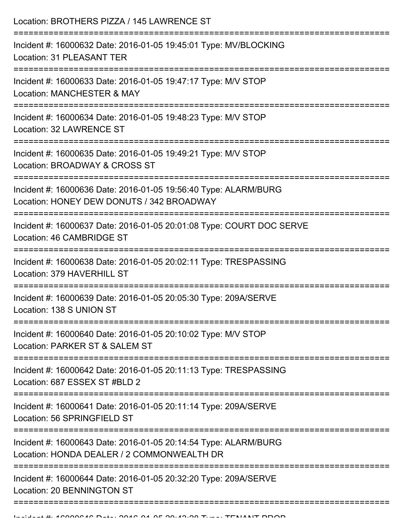| Location: BROTHERS PIZZA / 145 LAWRENCE ST                                                                    |
|---------------------------------------------------------------------------------------------------------------|
| Incident #: 16000632 Date: 2016-01-05 19:45:01 Type: MV/BLOCKING<br>Location: 31 PLEASANT TER                 |
| Incident #: 16000633 Date: 2016-01-05 19:47:17 Type: M/V STOP<br><b>Location: MANCHESTER &amp; MAY</b>        |
| Incident #: 16000634 Date: 2016-01-05 19:48:23 Type: M/V STOP<br>Location: 32 LAWRENCE ST                     |
| Incident #: 16000635 Date: 2016-01-05 19:49:21 Type: M/V STOP<br>Location: BROADWAY & CROSS ST                |
| Incident #: 16000636 Date: 2016-01-05 19:56:40 Type: ALARM/BURG<br>Location: HONEY DEW DONUTS / 342 BROADWAY  |
| Incident #: 16000637 Date: 2016-01-05 20:01:08 Type: COURT DOC SERVE<br>Location: 46 CAMBRIDGE ST             |
| Incident #: 16000638 Date: 2016-01-05 20:02:11 Type: TRESPASSING<br>Location: 379 HAVERHILL ST                |
| Incident #: 16000639 Date: 2016-01-05 20:05:30 Type: 209A/SERVE<br>Location: 138 S UNION ST                   |
| Incident #: 16000640 Date: 2016-01-05 20:10:02 Type: M/V STOP<br>Location: PARKER ST & SALEM ST               |
| Incident #: 16000642 Date: 2016-01-05 20:11:13 Type: TRESPASSING<br>Location: 687 ESSEX ST #BLD 2             |
| Incident #: 16000641 Date: 2016-01-05 20:11:14 Type: 209A/SERVE<br>Location: 56 SPRINGFIELD ST                |
| Incident #: 16000643 Date: 2016-01-05 20:14:54 Type: ALARM/BURG<br>Location: HONDA DEALER / 2 COMMONWEALTH DR |
| Incident #: 16000644 Date: 2016-01-05 20:32:20 Type: 209A/SERVE<br>Location: 20 BENNINGTON ST                 |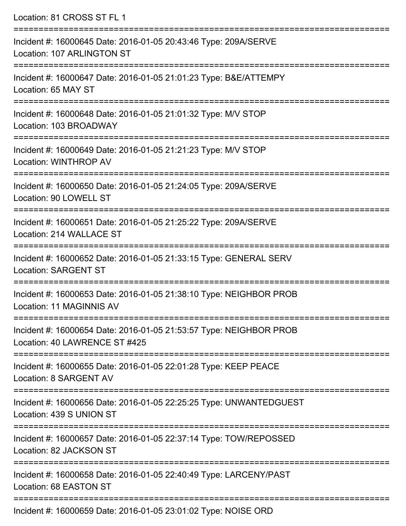| Location: 81 CROSS ST FL 1                                                                                                      |
|---------------------------------------------------------------------------------------------------------------------------------|
| Incident #: 16000645 Date: 2016-01-05 20:43:46 Type: 209A/SERVE<br>Location: 107 ARLINGTON ST                                   |
| Incident #: 16000647 Date: 2016-01-05 21:01:23 Type: B&E/ATTEMPY<br>Location: 65 MAY ST                                         |
| Incident #: 16000648 Date: 2016-01-05 21:01:32 Type: M/V STOP<br>Location: 103 BROADWAY                                         |
| Incident #: 16000649 Date: 2016-01-05 21:21:23 Type: M/V STOP<br>Location: WINTHROP AV                                          |
| Incident #: 16000650 Date: 2016-01-05 21:24:05 Type: 209A/SERVE<br>Location: 90 LOWELL ST                                       |
| Incident #: 16000651 Date: 2016-01-05 21:25:22 Type: 209A/SERVE<br>Location: 214 WALLACE ST                                     |
| Incident #: 16000652 Date: 2016-01-05 21:33:15 Type: GENERAL SERV<br><b>Location: SARGENT ST</b><br>=========================   |
| Incident #: 16000653 Date: 2016-01-05 21:38:10 Type: NEIGHBOR PROB<br>Location: 11 MAGINNIS AV<br>----------------------------- |
| Incident #: 16000654 Date: 2016-01-05 21:53:57 Type: NEIGHBOR PROB<br>Location: 40 LAWRENCE ST #425                             |
| Incident #: 16000655 Date: 2016-01-05 22:01:28 Type: KEEP PEACE<br>Location: 8 SARGENT AV                                       |
| Incident #: 16000656 Date: 2016-01-05 22:25:25 Type: UNWANTEDGUEST<br>Location: 439 S UNION ST                                  |
| Incident #: 16000657 Date: 2016-01-05 22:37:14 Type: TOW/REPOSSED<br>Location: 82 JACKSON ST                                    |
| Incident #: 16000658 Date: 2016-01-05 22:40:49 Type: LARCENY/PAST<br>Location: 68 EASTON ST                                     |
|                                                                                                                                 |

Incident #: 16000659 Date: 2016-01-05 23:01:02 Type: NOISE ORD